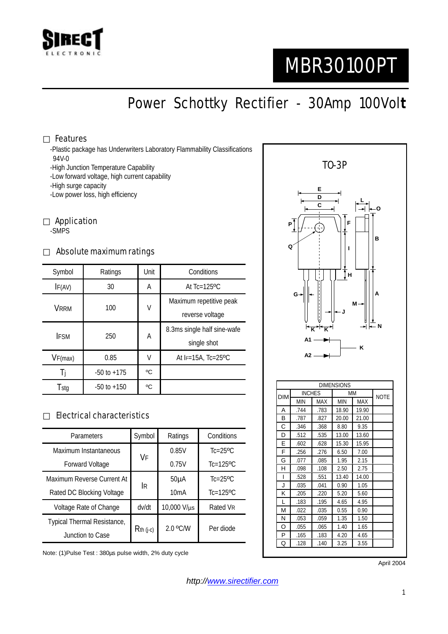

# MBR30100PT

Power Schottky Rectifier - 30Amp 100Vol**t**

#### Features

-Plastic package has Underwriters Laboratory Flammability Classifications 94V-0

-High Junction Temperature Capability

-Low forward voltage, high current capability

-High surge capacity

-Low power loss, high efficiency

Application -SMPS

#### Absolute maximum ratings

| Symbol      | Ratings         | Unit | Conditions                   |  |
|-------------|-----------------|------|------------------------------|--|
| IF(AV)      | 30              | A    | At $Tc=125$ <sup>o</sup> $C$ |  |
| <b>VRRM</b> | 100             | V    | Maximum repetitive peak      |  |
|             |                 |      | reverse voltage              |  |
| <b>IFSM</b> | 250             | A    | 8.3ms single half sine-wafe  |  |
|             |                 |      | single shot                  |  |
| VF(max)     | 0.85            | V    | At $F=15A$ , Tc=25°C         |  |
|             | $-50$ to $+175$ | °C   |                              |  |
| Tstg        | $-50$ to $+150$ | °C   |                              |  |

#### Electrical characteristics

| Parameters                  | Symbol      | Ratings           | Conditions                |
|-----------------------------|-------------|-------------------|---------------------------|
| Maximum Instantaneous       | VF          | 0.85V             | $Tc=25$ <sup>o</sup> $C$  |
| Forward Voltage             |             | 0.75V             | $Tc=125$ <sup>o</sup> $C$ |
| Maximum Reverse Current At  | İR          | 50 <sub>µ</sub> A | $Tc=25$ <sup>o</sup> $C$  |
| Rated DC Blocking Voltage   |             | 10mA              | $Tc=125$ <sup>o</sup> C   |
| Voltage Rate of Change      | dv/dt       | 10,000 V/µs       | Rated VR                  |
| Typical Thermal Resistance, | $Rth$ (j-c) | 2.0 °C/W          | Per diode                 |
| Junction to Case            |             |                   |                           |

Note: (1)Pulse Test : 380µs pulse width, 2% duty cycle



April 2004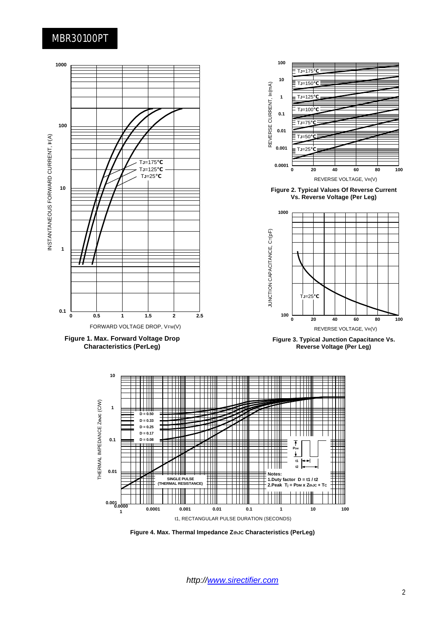### MBR30100PT



**Figure 4. Max. Thermal Impedance ZthJC Characteristics (PerLeg)**

*http://www.sirectifier.com*